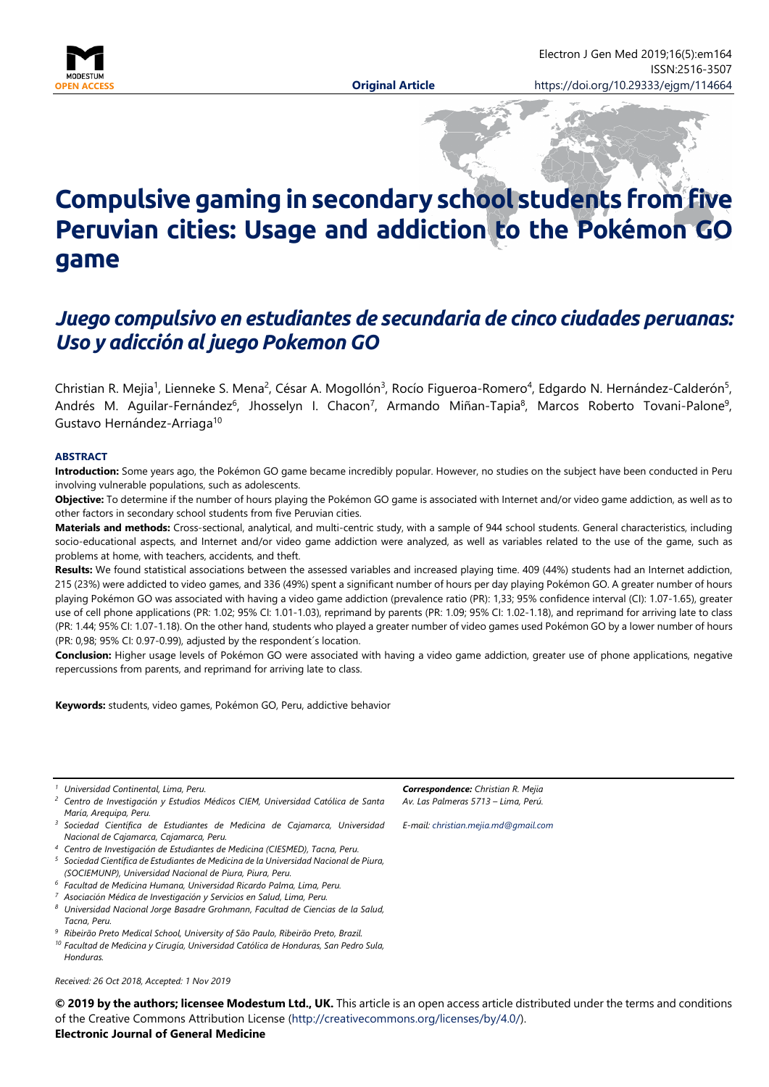

# **Compulsive gaming in secondary school students from five Peruvian cities: Usage and addiction to the Pokémon GO game**

# *Juego compulsivo en estudiantes de secundaria de cinco ciudades peruanas: Uso y adicción al juego Pokemon GO*

Christian R. Mejia<sup>1</sup>, Lienneke S. Mena<sup>2</sup>, César A. Mogollón<sup>3</sup>, Rocío Figueroa-Romero<sup>4</sup>, Edgardo N. Hernández-Calderón<sup>5</sup>, Andrés M. Aguilar-Fernández<sup>6</sup>, Jhosselyn I. Chacon<sup>7</sup>, Armando Miñan-Tapia<sup>8</sup>, Marcos Roberto Tovani-Palone<sup>9</sup>, Gustavo Hernández-Arriaga10

#### **ABSTRACT**

**Introduction:** Some years ago, the Pokémon GO game became incredibly popular. However, no studies on the subject have been conducted in Peru involving vulnerable populations, such as adolescents.

**Objective:** To determine if the number of hours playing the Pokémon GO game is associated with Internet and/or video game addiction, as well as to other factors in secondary school students from five Peruvian cities.

**Materials and methods:** Cross-sectional, analytical, and multi-centric study, with a sample of 944 school students. General characteristics, including socio-educational aspects, and Internet and/or video game addiction were analyzed, as well as variables related to the use of the game, such as problems at home, with teachers, accidents, and theft.

**Results:** We found statistical associations between the assessed variables and increased playing time. 409 (44%) students had an Internet addiction, 215 (23%) were addicted to video games, and 336 (49%) spent a significant number of hours per day playing Pokémon GO. A greater number of hours playing Pokémon GO was associated with having a video game addiction (prevalence ratio (PR): 1,33; 95% confidence interval (CI): 1.07-1.65), greater use of cell phone applications (PR: 1.02; 95% CI: 1.01-1.03), reprimand by parents (PR: 1.09; 95% CI: 1.02-1.18), and reprimand for arriving late to class (PR: 1.44; 95% CI: 1.07-1.18). On the other hand, students who played a greater number of video games used Pokémon GO by a lower number of hours (PR: 0,98; 95% CI: 0.97-0.99), adjusted by the respondent´s location.

**Conclusion:** Higher usage levels of Pokémon GO were associated with having a video game addiction, greater use of phone applications, negative repercussions from parents, and reprimand for arriving late to class.

**Keywords:** students, video games, Pokémon GO, Peru, addictive behavior

*<sup>1</sup> Universidad Continental, Lima, Peru.*

*<sup>2</sup> Centro de Investigación y Estudios Médicos CIEM, Universidad Católica de Santa María, Arequipa, Peru.*

*<sup>3</sup> Sociedad Científica de Estudiantes de Medicina de Cajamarca, Universidad Nacional de Cajamarca, Cajamarca, Peru.*

*<sup>4</sup> Centro de Investigación de Estudiantes de Medicina (CIESMED), Tacna, Peru.*

*<sup>5</sup> Sociedad Científica de Estudiantes de Medicina de la Universidad Nacional de Piura, (SOCIEMUNP), Universidad Nacional de Piura, Piura, Peru.*

*<sup>6</sup> Facultad de Medicina Humana, Universidad Ricardo Palma, Lima, Peru.*

*<sup>7</sup> Asociación Médica de Investigación y Servicios en Salud, Lima, Peru.*

*<sup>8</sup> Universidad Nacional Jorge Basadre Grohmann, Facultad de Ciencias de la Salud, Tacna, Peru.*

*<sup>9</sup> Ribeirão Preto Medical School, University of São Paulo, Ribeirão Preto, Brazil.*

*<sup>10</sup> Facultad de Medicina y Cirugía, Universidad Católica de Honduras, San Pedro Sula, Honduras.*

*Received: 26 Oct 2018, Accepted: 1 Nov 2019*

**© 2019 by the authors; licensee Modestum Ltd., UK.** This article is an open access article distributed under the terms and conditions of the Creative Commons Attribution License [\(http://creativecommons.org/licenses/by/4.0/\)](http://creativecommons.org/licenses/by/4.0/).

**Electronic Journal of General Medicine**

*Correspondence: Christian R. Mejia Av. Las Palmeras 5713 – Lima, Perú.*

*E-mail: [christian.mejia.md@gmail.com](mailto:christian.mejia.md@gmail.com)*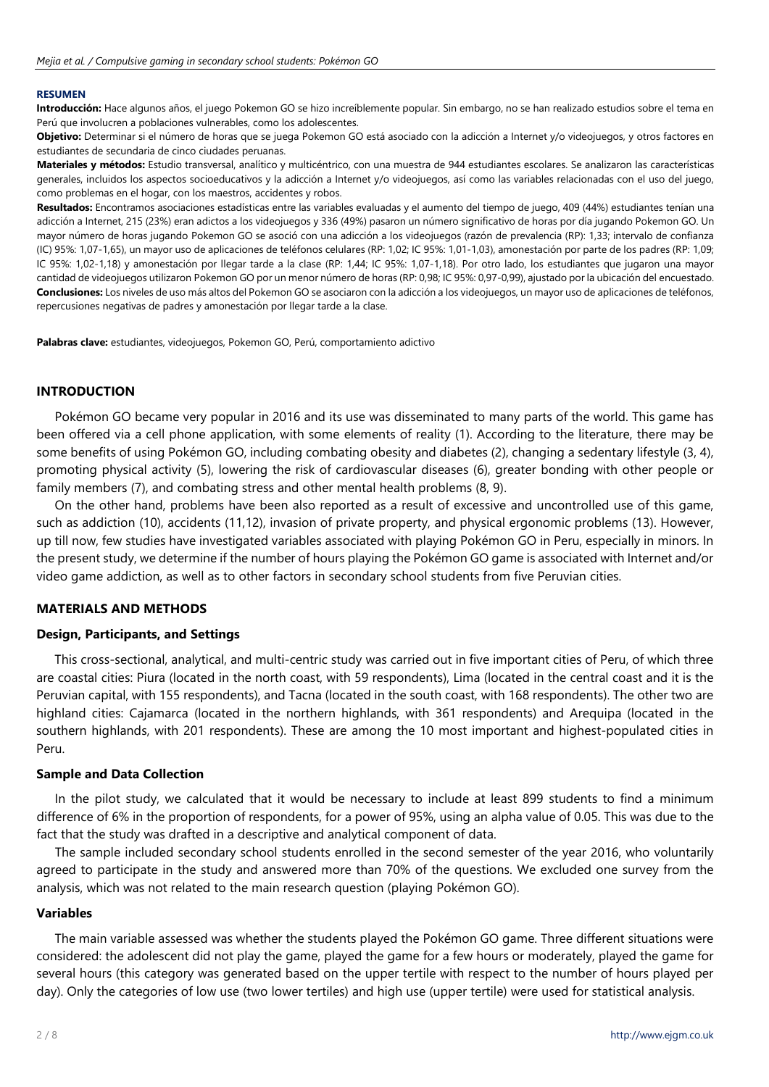#### **RESUMEN**

**Introducción:** Hace algunos años, el juego Pokemon GO se hizo increíblemente popular. Sin embargo, no se han realizado estudios sobre el tema en Perú que involucren a poblaciones vulnerables, como los adolescentes.

**Objetivo:** Determinar si el número de horas que se juega Pokemon GO está asociado con la adicción a Internet y/o videojuegos, y otros factores en estudiantes de secundaria de cinco ciudades peruanas.

**Materiales y métodos:** Estudio transversal, analítico y multicéntrico, con una muestra de 944 estudiantes escolares. Se analizaron las características generales, incluidos los aspectos socioeducativos y la adicción a Internet y/o videojuegos, así como las variables relacionadas con el uso del juego, como problemas en el hogar, con los maestros, accidentes y robos.

**Resultados:** Encontramos asociaciones estadísticas entre las variables evaluadas y el aumento del tiempo de juego, 409 (44%) estudiantes tenían una adicción a Internet, 215 (23%) eran adictos a los videojuegos y 336 (49%) pasaron un número significativo de horas por día jugando Pokemon GO. Un mayor número de horas jugando Pokemon GO se asoció con una adicción a los videojuegos (razón de prevalencia (RP): 1,33; intervalo de confianza (IC) 95%: 1,07-1,65), un mayor uso de aplicaciones de teléfonos celulares (RP: 1,02; IC 95%: 1,01-1,03), amonestación por parte de los padres (RP: 1,09; IC 95%: 1,02-1,18) y amonestación por llegar tarde a la clase (RP: 1,44; IC 95%: 1,07-1,18). Por otro lado, los estudiantes que jugaron una mayor cantidad de videojuegos utilizaron Pokemon GO por un menor número de horas (RP: 0,98; IC 95%: 0,97-0,99), ajustado por la ubicación del encuestado. **Conclusiones:** Los niveles de uso más altos del Pokemon GO se asociaron con la adicción a los videojuegos, un mayor uso de aplicaciones de teléfonos, repercusiones negativas de padres y amonestación por llegar tarde a la clase.

**Palabras clave:** estudiantes, videojuegos, Pokemon GO, Perú, comportamiento adictivo

#### **INTRODUCTION**

Pokémon GO became very popular in 2016 and its use was disseminated to many parts of the world. This game has been offered via a cell phone application, with some elements of reality (1). According to the literature, there may be some benefits of using Pokémon GO, including combating obesity and diabetes (2), changing a sedentary lifestyle (3, 4), promoting physical activity (5), lowering the risk of cardiovascular diseases (6), greater bonding with other people or family members (7), and combating stress and other mental health problems (8, 9).

On the other hand, problems have been also reported as a result of excessive and uncontrolled use of this game, such as addiction (10), accidents (11,12), invasion of private property, and physical ergonomic problems (13). However, up till now, few studies have investigated variables associated with playing Pokémon GO in Peru, especially in minors. In the present study, we determine if the number of hours playing the Pokémon GO game is associated with Internet and/or video game addiction, as well as to other factors in secondary school students from five Peruvian cities.

#### **MATERIALS AND METHODS**

#### **Design, Participants, and Settings**

This cross-sectional, analytical, and multi-centric study was carried out in five important cities of Peru, of which three are coastal cities: Piura (located in the north coast, with 59 respondents), Lima (located in the central coast and it is the Peruvian capital, with 155 respondents), and Tacna (located in the south coast, with 168 respondents). The other two are highland cities: Cajamarca (located in the northern highlands, with 361 respondents) and Arequipa (located in the southern highlands, with 201 respondents). These are among the 10 most important and highest-populated cities in Peru.

#### **Sample and Data Collection**

In the pilot study, we calculated that it would be necessary to include at least 899 students to find a minimum difference of 6% in the proportion of respondents, for a power of 95%, using an alpha value of 0.05. This was due to the fact that the study was drafted in a descriptive and analytical component of data.

The sample included secondary school students enrolled in the second semester of the year 2016, who voluntarily agreed to participate in the study and answered more than 70% of the questions. We excluded one survey from the analysis, which was not related to the main research question (playing Pokémon GO).

#### **Variables**

The main variable assessed was whether the students played the Pokémon GO game. Three different situations were considered: the adolescent did not play the game, played the game for a few hours or moderately, played the game for several hours (this category was generated based on the upper tertile with respect to the number of hours played per day). Only the categories of low use (two lower tertiles) and high use (upper tertile) were used for statistical analysis.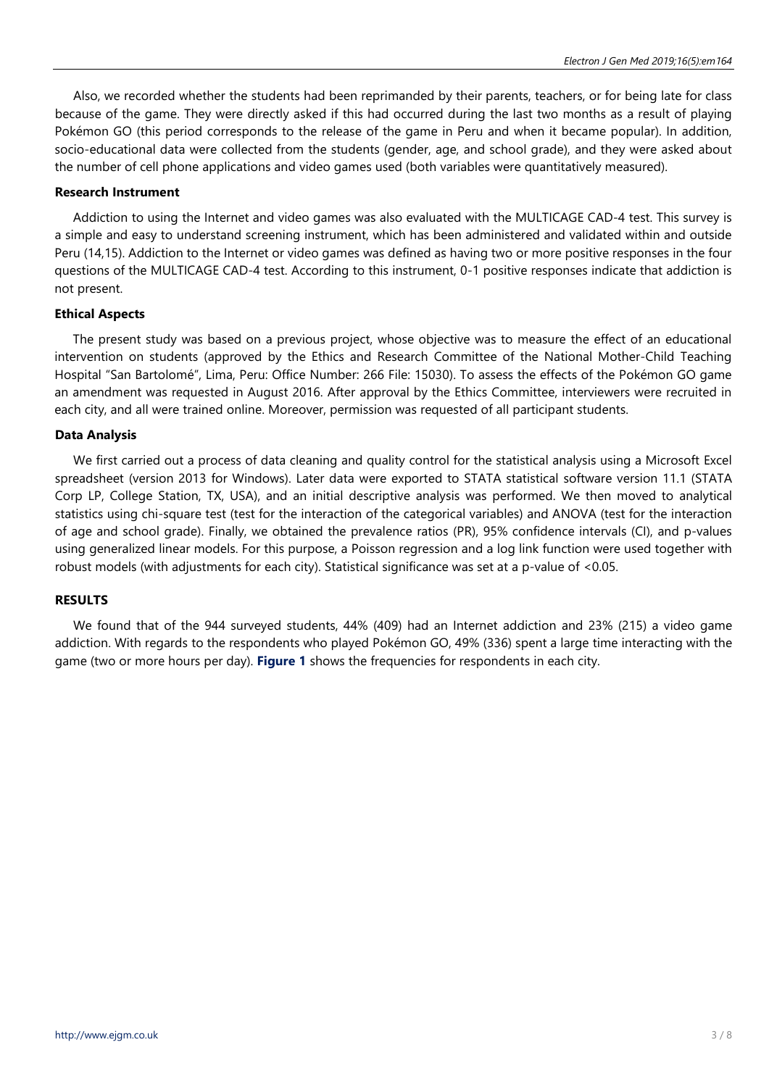Also, we recorded whether the students had been reprimanded by their parents, teachers, or for being late for class because of the game. They were directly asked if this had occurred during the last two months as a result of playing Pokémon GO (this period corresponds to the release of the game in Peru and when it became popular). In addition, socio-educational data were collected from the students (gender, age, and school grade), and they were asked about the number of cell phone applications and video games used (both variables were quantitatively measured).

#### **Research Instrument**

Addiction to using the Internet and video games was also evaluated with the MULTICAGE CAD-4 test. This survey is a simple and easy to understand screening instrument, which has been administered and validated within and outside Peru (14,15). Addiction to the Internet or video games was defined as having two or more positive responses in the four questions of the MULTICAGE CAD-4 test. According to this instrument, 0-1 positive responses indicate that addiction is not present.

#### **Ethical Aspects**

The present study was based on a previous project, whose objective was to measure the effect of an educational intervention on students (approved by the Ethics and Research Committee of the National Mother-Child Teaching Hospital "San Bartolomé", Lima, Peru: Office Number: 266 File: 15030). To assess the effects of the Pokémon GO game an amendment was requested in August 2016. After approval by the Ethics Committee, interviewers were recruited in each city, and all were trained online. Moreover, permission was requested of all participant students.

#### **Data Analysis**

We first carried out a process of data cleaning and quality control for the statistical analysis using a Microsoft Excel spreadsheet (version 2013 for Windows). Later data were exported to STATA statistical software version 11.1 (STATA Corp LP, College Station, TX, USA), and an initial descriptive analysis was performed. We then moved to analytical statistics using chi-square test (test for the interaction of the categorical variables) and ANOVA (test for the interaction of age and school grade). Finally, we obtained the prevalence ratios (PR), 95% confidence intervals (CI), and p-values using generalized linear models. For this purpose, a Poisson regression and a log link function were used together with robust models (with adjustments for each city). Statistical significance was set at a p-value of <0.05.

# **RESULTS**

We found that of the 944 surveyed students, 44% (409) had an Internet addiction and 23% (215) a video game addiction. With regards to the respondents who played Pokémon GO, 49% (336) spent a large time interacting with the game (two or more hours per day). **Figure 1** shows the frequencies for respondents in each city.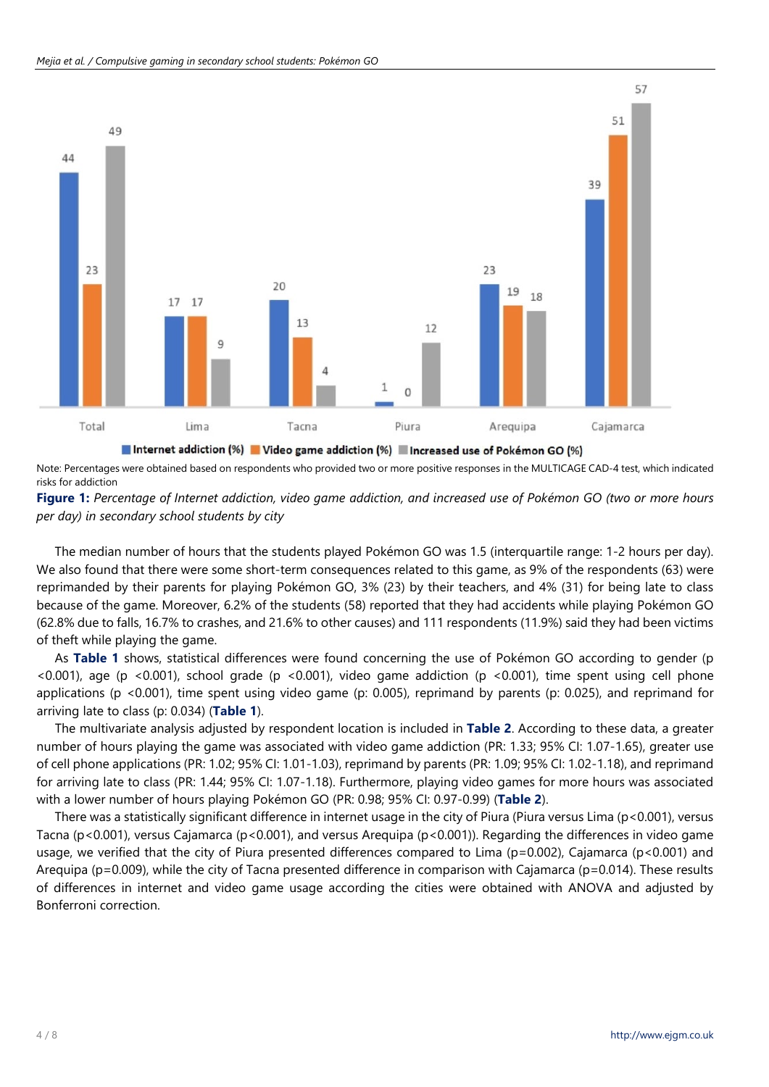

Note: Percentages were obtained based on respondents who provided two or more positive responses in the MULTICAGE CAD-4 test, which indicated risks for addiction

# Figure 1: Percentage of Internet addiction, video game addiction, and increased use of Pokémon GO (two or more hours *per day) in secondary school students by city*

The median number of hours that the students played Pokémon GO was 1.5 (interquartile range: 1-2 hours per day). We also found that there were some short-term consequences related to this game, as 9% of the respondents (63) were reprimanded by their parents for playing Pokémon GO, 3% (23) by their teachers, and 4% (31) for being late to class because of the game. Moreover, 6.2% of the students (58) reported that they had accidents while playing Pokémon GO (62.8% due to falls, 16.7% to crashes, and 21.6% to other causes) and 111 respondents (11.9%) said they had been victims of theft while playing the game.

As **Table 1** shows, statistical differences were found concerning the use of Pokémon GO according to gender (p <0.001), age (p <0.001), school grade (p <0.001), video game addiction (p <0.001), time spent using cell phone applications (p <0.001), time spent using video game (p: 0.005), reprimand by parents (p: 0.025), and reprimand for arriving late to class (p: 0.034) (**Table 1**).

The multivariate analysis adjusted by respondent location is included in **Table 2**. According to these data, a greater number of hours playing the game was associated with video game addiction (PR: 1.33; 95% CI: 1.07-1.65), greater use of cell phone applications (PR: 1.02; 95% CI: 1.01-1.03), reprimand by parents (PR: 1.09; 95% CI: 1.02-1.18), and reprimand for arriving late to class (PR: 1.44; 95% CI: 1.07-1.18). Furthermore, playing video games for more hours was associated with a lower number of hours playing Pokémon GO (PR: 0.98; 95% CI: 0.97-0.99) (**Table 2**).

There was a statistically significant difference in internet usage in the city of Piura (Piura versus Lima (p<0.001), versus Tacna (p<0.001), versus Cajamarca (p<0.001), and versus Arequipa (p<0.001)). Regarding the differences in video game usage, we verified that the city of Piura presented differences compared to Lima (p=0.002), Cajamarca (p<0.001) and Arequipa (p=0.009), while the city of Tacna presented difference in comparison with Cajamarca (p=0.014). These results of differences in internet and video game usage according the cities were obtained with ANOVA and adjusted by Bonferroni correction.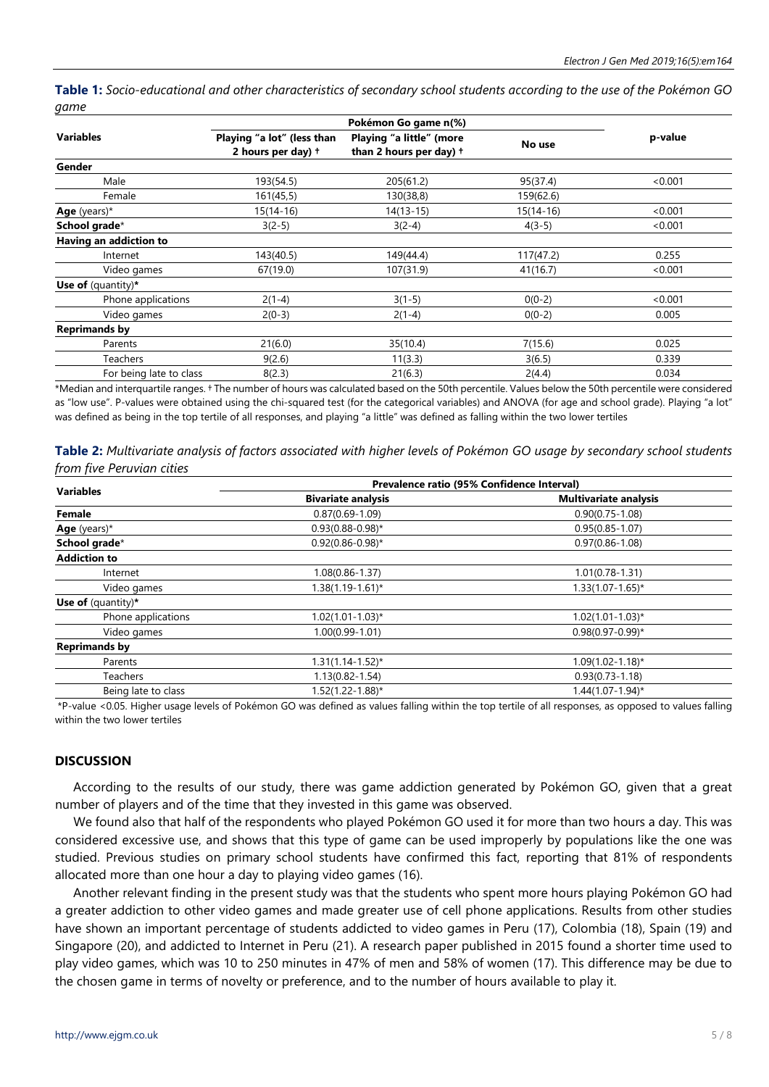Table 1: Socio-educational and other characteristics of secondary school students according to the use of the Pokémon GO *game*

| Playing "a lot" (less than<br>2 hours per day) + | Playing "a little" (more<br>than 2 hours per day) + | No use               | p-value |  |
|--------------------------------------------------|-----------------------------------------------------|----------------------|---------|--|
|                                                  |                                                     |                      |         |  |
| 193(54.5)                                        | 205(61.2)                                           | 95(37.4)             | < 0.001 |  |
| 161(45,5)                                        | 130(38,8)                                           | 159(62.6)            |         |  |
| $15(14-16)$                                      | $14(13-15)$                                         | $15(14-16)$          | < 0.001 |  |
| $3(2-5)$                                         | $3(2-4)$                                            | $4(3-5)$             | < 0.001 |  |
|                                                  |                                                     |                      |         |  |
| 143(40.5)                                        | 149(44.4)                                           | 117(47.2)            | 0.255   |  |
| 67(19.0)                                         | 107(31.9)                                           | 41(16.7)             | < 0.001 |  |
|                                                  |                                                     |                      |         |  |
| $2(1-4)$                                         | $3(1-5)$                                            | $0(0-2)$             | < 0.001 |  |
| $2(0-3)$                                         | $2(1-4)$                                            | $0(0-2)$             | 0.005   |  |
|                                                  |                                                     |                      |         |  |
| 21(6.0)                                          | 35(10.4)                                            | 7(15.6)              | 0.025   |  |
| 9(2.6)                                           | 11(3.3)                                             | 3(6.5)               | 0.339   |  |
| 8(2.3)                                           | 21(6.3)                                             | 2(4.4)               | 0.034   |  |
|                                                  |                                                     | Pokémon Go game n(%) |         |  |

\*Median and interquartile ranges. † The number of hours was calculated based on the 50th percentile. Values below the 50th percentile were considered as "low use". P-values were obtained using the chi-squared test (for the categorical variables) and ANOVA (for age and school grade). Playing "a lot" was defined as being in the top tertile of all responses, and playing "a little" was defined as falling within the two lower tertiles

|  | Table 2: Multivariate analysis of factors associated with higher levels of Pokémon GO usage by secondary school students |  |  |  |  |  |  |
|--|--------------------------------------------------------------------------------------------------------------------------|--|--|--|--|--|--|
|  | from five Peruvian cities                                                                                                |  |  |  |  |  |  |

| <b>Variables</b>     | Prevalence ratio (95% Confidence Interval) |                              |  |  |  |
|----------------------|--------------------------------------------|------------------------------|--|--|--|
|                      | <b>Bivariate analysis</b>                  | <b>Multivariate analysis</b> |  |  |  |
| Female               | $0.87(0.69 - 1.09)$                        | $0.90(0.75 - 1.08)$          |  |  |  |
| Age (years)*         | $0.93(0.88 - 0.98)^*$                      | $0.95(0.85 - 1.07)$          |  |  |  |
| School grade*        | $0.92(0.86 - 0.98)$ *                      | $0.97(0.86 - 1.08)$          |  |  |  |
| <b>Addiction to</b>  |                                            |                              |  |  |  |
| Internet             | 1.08(0.86-1.37)                            | $1.01(0.78-1.31)$            |  |  |  |
| Video games          | $1.38(1.19 - 1.61)^{*}$                    | $1.33(1.07 - 1.65)^*$        |  |  |  |
| Use of $(quantity)*$ |                                            |                              |  |  |  |
| Phone applications   | $1.02(1.01 - 1.03)^*$                      | $1.02(1.01 - 1.03)^*$        |  |  |  |
| Video games          | $1.00(0.99 - 1.01)$                        | $0.98(0.97 - 0.99)^*$        |  |  |  |
| <b>Reprimands by</b> |                                            |                              |  |  |  |
| Parents              | $1.31(1.14 - 1.52)^{*}$                    | $1.09(1.02 - 1.18)^{*}$      |  |  |  |
| Teachers             | $1.13(0.82 - 1.54)$                        | $0.93(0.73 - 1.18)$          |  |  |  |
| Being late to class  | $1.52(1.22 - 1.88)^*$                      | 1.44(1.07-1.94)*             |  |  |  |
|                      |                                            |                              |  |  |  |

\*P-value <0.05. Higher usage levels of Pokémon GO was defined as values falling within the top tertile of all responses, as opposed to values falling within the two lower tertiles

#### **DISCUSSION**

According to the results of our study, there was game addiction generated by Pokémon GO, given that a great number of players and of the time that they invested in this game was observed.

We found also that half of the respondents who played Pokémon GO used it for more than two hours a day. This was considered excessive use, and shows that this type of game can be used improperly by populations like the one was studied. Previous studies on primary school students have confirmed this fact, reporting that 81% of respondents allocated more than one hour a day to playing video games (16).

Another relevant finding in the present study was that the students who spent more hours playing Pokémon GO had a greater addiction to other video games and made greater use of cell phone applications. Results from other studies have shown an important percentage of students addicted to video games in Peru (17), Colombia (18), Spain (19) and Singapore (20), and addicted to Internet in Peru (21). A research paper published in 2015 found a shorter time used to play video games, which was 10 to 250 minutes in 47% of men and 58% of women (17). This difference may be due to the chosen game in terms of novelty or preference, and to the number of hours available to play it.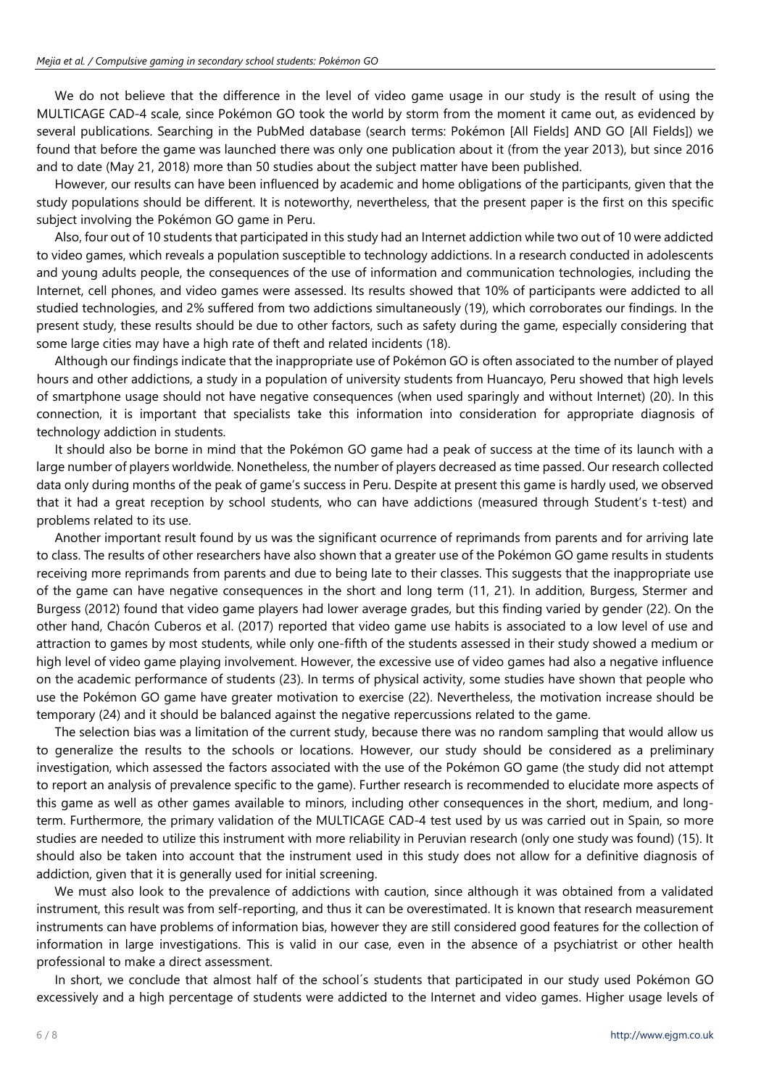We do not believe that the difference in the level of video game usage in our study is the result of using the MULTICAGE CAD-4 scale, since Pokémon GO took the world by storm from the moment it came out, as evidenced by several publications. Searching in the PubMed database (search terms: Pokémon [All Fields] AND GO [All Fields]) we found that before the game was launched there was only one publication about it (from the year 2013), but since 2016 and to date (May 21, 2018) more than 50 studies about the subject matter have been published.

However, our results can have been influenced by academic and home obligations of the participants, given that the study populations should be different. It is noteworthy, nevertheless, that the present paper is the first on this specific subject involving the Pokémon GO game in Peru.

Also, four out of 10 students that participated in this study had an Internet addiction while two out of 10 were addicted to video games, which reveals a population susceptible to technology addictions. In a research conducted in adolescents and young adults people, the consequences of the use of information and communication technologies, including the Internet, cell phones, and video games were assessed. Its results showed that 10% of participants were addicted to all studied technologies, and 2% suffered from two addictions simultaneously (19), which corroborates our findings. In the present study, these results should be due to other factors, such as safety during the game, especially considering that some large cities may have a high rate of theft and related incidents (18).

Although our findings indicate that the inappropriate use of Pokémon GO is often associated to the number of played hours and other addictions, a study in a population of university students from Huancayo, Peru showed that high levels of smartphone usage should not have negative consequences (when used sparingly and without Internet) (20). In this connection, it is important that specialists take this information into consideration for appropriate diagnosis of technology addiction in students.

It should also be borne in mind that the Pokémon GO game had a peak of success at the time of its launch with a large number of players worldwide. Nonetheless, the number of players decreased as time passed. Our research collected data only during months of the peak of game's success in Peru. Despite at present this game is hardly used, we observed that it had a great reception by school students, who can have addictions (measured through Student's t-test) and problems related to its use.

Another important result found by us was the significant ocurrence of reprimands from parents and for arriving late to class. The results of other researchers have also shown that a greater use of the Pokémon GO game results in students receiving more reprimands from parents and due to being late to their classes. This suggests that the inappropriate use of the game can have negative consequences in the short and long term (11, 21). In addition, Burgess, Stermer and Burgess (2012) found that video game players had lower average grades, but this finding varied by gender (22). On the other hand, Chacón Cuberos et al. (2017) reported that video game use habits is associated to a low level of use and attraction to games by most students, while only one-fifth of the students assessed in their study showed a medium or high level of video game playing involvement. However, the excessive use of video games had also a negative influence on the academic performance of students (23). In terms of physical activity, some studies have shown that people who use the Pokémon GO game have greater motivation to exercise (22). Nevertheless, the motivation increase should be temporary (24) and it should be balanced against the negative repercussions related to the game.

The selection bias was a limitation of the current study, because there was no random sampling that would allow us to generalize the results to the schools or locations. However, our study should be considered as a preliminary investigation, which assessed the factors associated with the use of the Pokémon GO game (the study did not attempt to report an analysis of prevalence specific to the game). Further research is recommended to elucidate more aspects of this game as well as other games available to minors, including other consequences in the short, medium, and longterm. Furthermore, the primary validation of the MULTICAGE CAD-4 test used by us was carried out in Spain, so more studies are needed to utilize this instrument with more reliability in Peruvian research (only one study was found) (15). It should also be taken into account that the instrument used in this study does not allow for a definitive diagnosis of addiction, given that it is generally used for initial screening.

We must also look to the prevalence of addictions with caution, since although it was obtained from a validated instrument, this result was from self-reporting, and thus it can be overestimated. It is known that research measurement instruments can have problems of information bias, however they are still considered good features for the collection of information in large investigations. This is valid in our case, even in the absence of a psychiatrist or other health professional to make a direct assessment.

In short, we conclude that almost half of the school´s students that participated in our study used Pokémon GO excessively and a high percentage of students were addicted to the Internet and video games. Higher usage levels of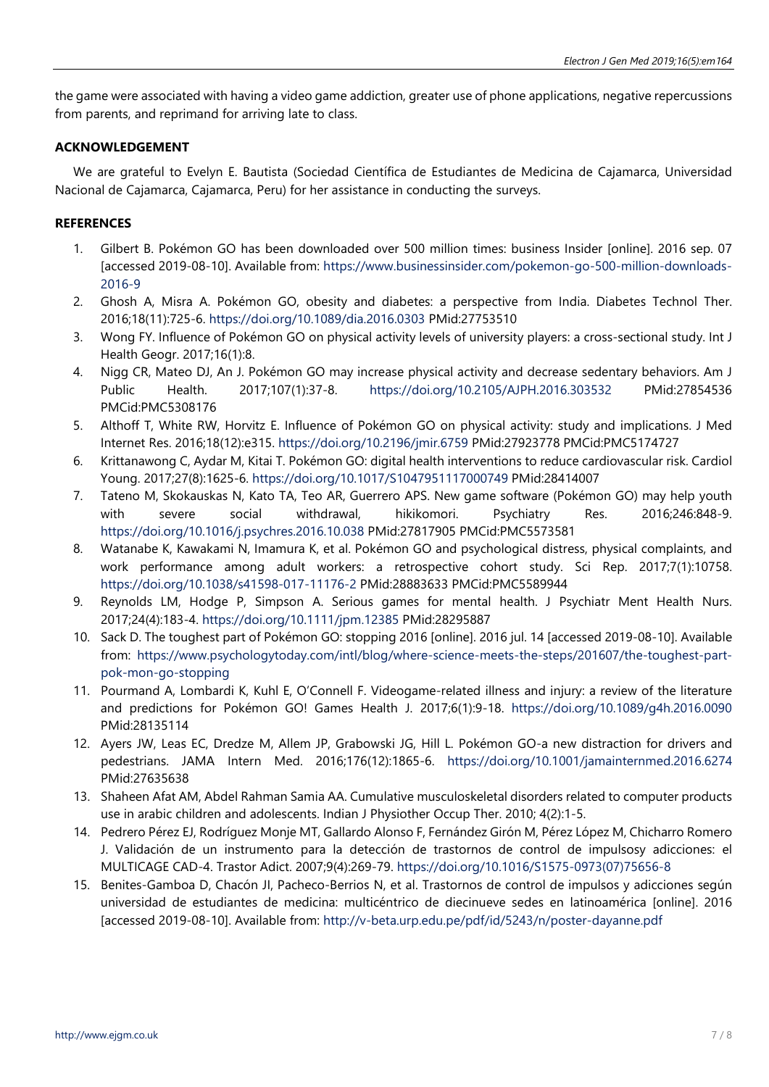the game were associated with having a video game addiction, greater use of phone applications, negative repercussions from parents, and reprimand for arriving late to class.

# **ACKNOWLEDGEMENT**

We are grateful to Evelyn E. Bautista (Sociedad Científica de Estudiantes de Medicina de Cajamarca, Universidad Nacional de Cajamarca, Cajamarca, Peru) for her assistance in conducting the surveys.

# **REFERENCES**

- 1. Gilbert B. Pokémon GO has been downloaded over 500 million times: business Insider [online]. 2016 sep. 07 [accessed 2019-08-10]. Available from: [https://www.businessinsider.com/pokemon-go-500-million-downloads-](https://www.businessinsider.com/pokemon-go-500-million-downloads-2016-9)[2016-9](https://www.businessinsider.com/pokemon-go-500-million-downloads-2016-9)
- 2. Ghosh A, Misra A. Pokémon GO, obesity and diabetes: a perspective from India. Diabetes Technol Ther. 2016;18(11):725-6. <https://doi.org/10.1089/dia.2016.0303> PMid:27753510
- 3. Wong FY. Influence of Pokémon GO on physical activity levels of university players: a cross-sectional study. Int J Health Geogr. 2017;16(1):8.
- 4. Nigg CR, Mateo DJ, An J. Pokémon GO may increase physical activity and decrease sedentary behaviors. Am J Public Health. 2017;107(1):37-8. <https://doi.org/10.2105/AJPH.2016.303532> PMid:27854536 PMCid:PMC5308176
- 5. Althoff T, White RW, Horvitz E. Influence of Pokémon GO on physical activity: study and implications. J Med Internet Res. 2016;18(12):e315. <https://doi.org/10.2196/jmir.6759> PMid:27923778 PMCid:PMC5174727
- 6. Krittanawong C, Aydar M, Kitai T. Pokémon GO: digital health interventions to reduce cardiovascular risk. Cardiol Young. 2017;27(8):1625-6. <https://doi.org/10.1017/S1047951117000749> PMid:28414007
- 7. Tateno M, Skokauskas N, Kato TA, Teo AR, Guerrero APS. New game software (Pokémon GO) may help youth with severe social withdrawal, hikikomori. Psychiatry Res. 2016;246:848-9. <https://doi.org/10.1016/j.psychres.2016.10.038> PMid:27817905 PMCid:PMC5573581
- 8. Watanabe K, Kawakami N, Imamura K, et al. Pokémon GO and psychological distress, physical complaints, and work performance among adult workers: a retrospective cohort study. Sci Rep. 2017;7(1):10758. <https://doi.org/10.1038/s41598-017-11176-2> PMid:28883633 PMCid:PMC5589944
- 9. Reynolds LM, Hodge P, Simpson A. Serious games for mental health. J Psychiatr Ment Health Nurs. 2017;24(4):183-4. <https://doi.org/10.1111/jpm.12385> PMid:28295887
- 10. Sack D. The toughest part of Pokémon GO: stopping 2016 [online]. 2016 jul. 14 [accessed 2019-08-10]. Available from: [https://www.psychologytoday.com/intl/blog/where-science-meets-the-steps/201607/the-toughest-part](https://www.psychologytoday.com/intl/blog/where-science-meets-the-steps/201607/the-toughest-part-pok-mon-go-stopping)[pok-mon-go-stopping](https://www.psychologytoday.com/intl/blog/where-science-meets-the-steps/201607/the-toughest-part-pok-mon-go-stopping)
- 11. Pourmand A, Lombardi K, Kuhl E, O'Connell F. Videogame-related illness and injury: a review of the literature and predictions for Pokémon GO! Games Health J. 2017;6(1):9-18. <https://doi.org/10.1089/g4h.2016.0090> PMid:28135114
- 12. Ayers JW, Leas EC, Dredze M, Allem JP, Grabowski JG, Hill L. Pokémon GO-a new distraction for drivers and pedestrians. JAMA Intern Med. 2016;176(12):1865-6. <https://doi.org/10.1001/jamainternmed.2016.6274> PMid:27635638
- 13. Shaheen Afat AM, Abdel Rahman Samia AA. Cumulative musculoskeletal disorders related to computer products use in arabic children and adolescents. Indian J Physiother Occup Ther. 2010; 4(2):1-5.
- 14. Pedrero Pérez EJ, Rodríguez Monje MT, Gallardo Alonso F, Fernández Girón M, Pérez López M, Chicharro Romero J. Validación de un instrumento para la detección de trastornos de control de impulsosy adicciones: el MULTICAGE CAD-4. Trastor Adict. 2007;9(4):269-79. [https://doi.org/10.1016/S1575-0973\(07\)75656-8](https://doi.org/10.1016/S1575-0973(07)75656-8)
- 15. Benites-Gamboa D, Chacón JI, Pacheco-Berrios N, et al. Trastornos de control de impulsos y adicciones según universidad de estudiantes de medicina: multicéntrico de diecinueve sedes en latinoamérica [online]. 2016 [accessed 2019-08-10]. Available from: <http://v-beta.urp.edu.pe/pdf/id/5243/n/poster-dayanne.pdf>